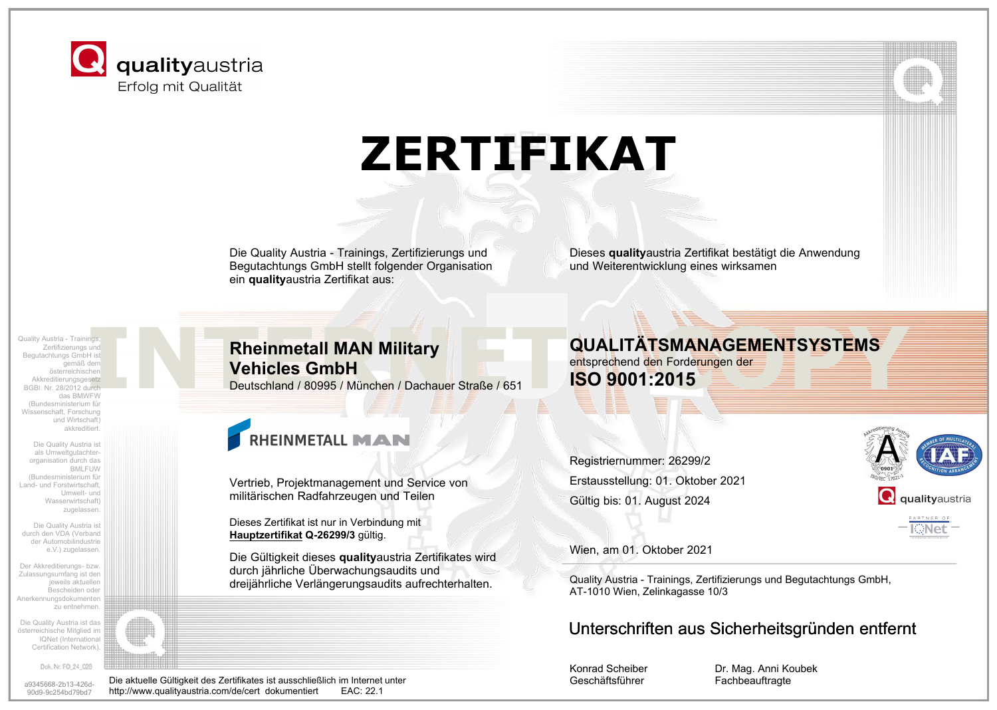

# **ZERTIFIKAT**

Die Quality Austria - Trainings, Zertifizierungs und Begutachtungs GmbH stellt folgender Organisation ein **quality**austria Zertifikat aus:

Dieses **quality**austria Zertifikat bestätigt die Anwendung und Weiterentwicklung eines wirksamen

Zertifizierungs und Begutachtungs GmbH ist gemäß dem österreichischen Akkreditierungsgesetz BGBl. Nr. 28/2012 durch das BMWFW (Bundesministerium für Wissenschaft, Forschung und Wirtschaft) akkreditiert.

Die Quality Austria ist als Umweltgutachterorganisation durch das BMLFUW (Bundesministerium für Land- und Forstwirtschaft, Umwelt- und Wasserwirtschaft) zugelassen.

Die Quality Austria ist durch den VDA (Verband der Automobilindustrie e.V.) zugelassen.

Der Akkreditierungs- bzw. Zulassungsumfang ist den jeweils aktuellen Bescheiden oder Anerkennungsdokumenten zu entnehmen.

Die Quality Austria ist das österreichische Mitglied im IQNet (International Certification Network).

Dok. Nr. FO 24 028

a9345668-2b13-426d-90d9-9c254bd79bd7

### Exputachtungs und<br>
Begutachtungs und<br>
Begutachtungs und<br>
Gality Austria - Trainings,<br>
Gality Austria - Trainings,<br>
Gality Austria - Trainings,<br>
Gality Austria - Trainings,<br>
Gality Austria - Trainings,<br>
Gality Austria - Tra **Rheinmetall MAN Military Vehicles GmbH**

Deutschland / 80995 / München / Dachauer Straße / 651

### RHEINMETALL MAN

Vertrieb, Projektmanagement und Service von militärischen Radfahrzeugen und Teilen

Dieses Zertifikat ist nur in Verbindung mit **Hauptzertifikat Q-26299/3** gültig.

http://www.qualityaustria.com/de/cert dokumentiert

Die Gültigkeit dieses **quality**austria Zertifikates wird durch jährliche Überwachungsaudits und dreijährliche Verlängerungsaudits aufrechterhalten.

#### **QUALITÄTSMANAGEMENTSYSTEMS** entsprechend den Forderungen der

**ISO 9001:2015**

Registriernummer: 26299/2 Erstausstellung: 01. Oktober 2021 Gültig bis: 01. August 2024



Wien, am 01. Oktober 2021

Quality Austria - Trainings, Zertifizierungs und Begutachtungs GmbH, AT-1010 Wien, Zelinkagasse 10/3

### Unterschriften aus Sicherheitsgründen entfernt

Konrad Scheiber Geschäftsführer Die aktuelle Gültigkeit des Zertifikates ist ausschließlich im Internet unter Fachbeauftragte<br>http://www.qualitvaustria.com/de/cert dokumentiert EAC: 22.1

Dr. Mag. Anni Koubek